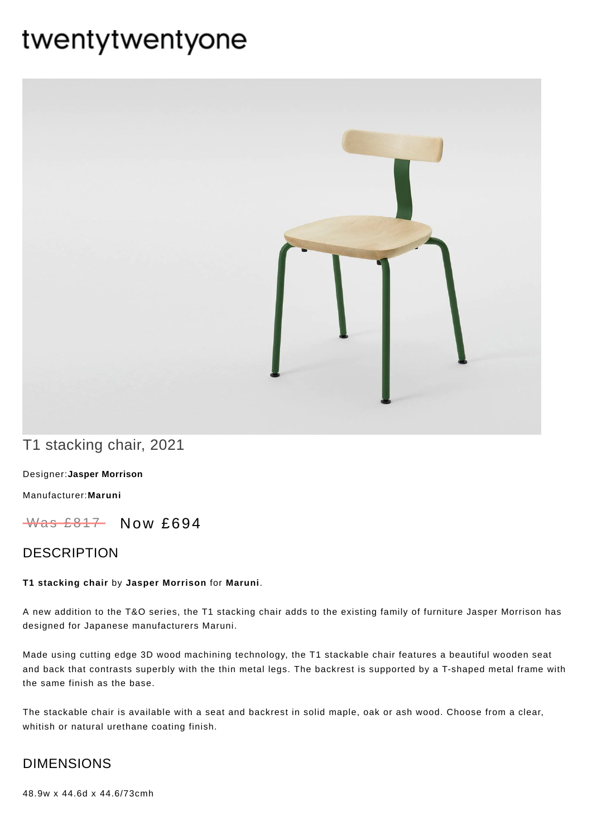# twentytwentyone



T1 stacking chair, 2021

[Designer:](https://www.twentytwentyone.com/collections/designers-jasper-morrison)**Jasper Morrison**

[Manufacturer:](https://www.twentytwentyone.com/collections/manufacturers-maruni)**Maruni**

 $W$ as £817 Now £694

## DESCRIPTION

#### **T1 stacking chair** by **Jasper [Morrison](http://twentytwentyone.com/designer/jasper-morrison)** for **[Maruni](http://twentytwentyone.com/manufacturer/maruni)**.

A new addition to the T&O series, the T1 stacking chair adds to the existing family of furniture Jasper Morrison has designed for Japanese manufacturers Maruni.

Made using cutting edge 3D wood machining technology, the T1 stackable chair features a beautiful wooden seat and back that contrasts superbly with the thin metal legs. The backrest is supported by a T-shaped metal frame with the same finish as the base.

The stackable chair is available with a seat and backrest in solid maple, oak or ash wood. Choose from a clear, whitish or natural urethane coating finish.

## DIMENSIONS

48.9w x 44.6d x 44.6/73cmh